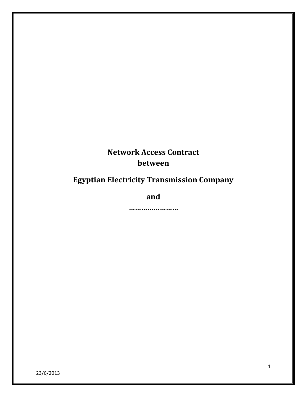# **Network Access Contract between**

# **Egyptian Electricity Transmission Company**

**and**

**……………………**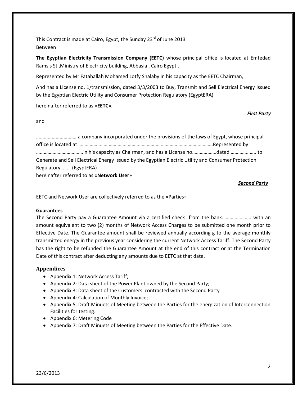This Contract is made at Cairo, Egypt, the Sunday  $23^{rd}$  of June 2013 Between

**The Egyptian Electricity Transmission Company (EETC)** whose principal office is located at Emtedad Ramsis St ,Ministry of Electricity building, Abbasia , Cairo Egypt .

Represented by Mr Fatahallah Mohamed Lotfy Shalaby in his capacity as the EETC Chairman,

And has a License no. 1/transmission, dated 3/3/2003 to Buy, Transmit and Sell Electrical Energy Issued by the Egyptian Electric Utility and Consumer Protection Regulatory (EgyptERA)

hereinafter referred to as «**EETC**»,

and

**…………………………**, a company incorporated under the provisions of the laws of Egypt, whose principal office is located at …………………………………………………………………………………………….Represented by ……………………………….in his capacity as Chairman, and has a License no……………….dated ……………….. to Generate and Sell Electrical Energy Issued by the Egyptian Electric Utility and Consumer Protection Regulatory…….. (EgyptERA) hereinafter referred to as «**Network User**»

## *Second Party*

*First Party*

EETC and Network User are collectively referred to as the «Parties»

## **Guarantees**

The Second Party pay a Guarantee Amount via a certified check from the bank………………….. with an amount equivalent to two (2) months of Network Access Charges to be submitted one month prior to Effective Date. The Guarantee amount shall be reviewed annually according g to the average monthly transmitted energy in the previous year considering the current Network Access Tariff. The Second Party has the right to be refunded the Guarantee Amount at the end of this contract or at the Termination Date of this contract after deducting any amounts due to EETC at that date.

## **Appendices**

- Appendix 1: Network Access Tariff;
- Appendix 2: Data sheet of the Power Plant owned by the Second Party;
- Appendix 3: Data sheet of the Customers contracted with the Second Party
- Appendix 4: Calculation of Monthly Invoice;
- Appendix 5: Draft Minuets of Meeting between the Parties for the energization of Interconnection Facilities for testing.
- Appendix 6: Metering Code
- Appendix 7: Draft Minuets of Meeting between the Parties for the Effective Date.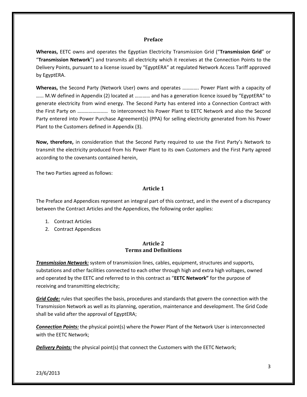#### **Preface**

**Whereas,** EETC owns and operates the Egyptian Electricity Transmission Grid ("**Transmission Grid**" or "**Transmission Network**") and transmits all electricity which it receives at the Connection Points to the Delivery Points, pursuant to a license issued by "EgyptERA" at regulated Network Access Tariff approved by EgyptERA.

**Whereas,** the Second Party (Network User) owns and operates …………. Power Plant with a capacity of …… M.W defined in Appendix (2) located at ………… and has a generation licence issued by "EgyptERA" to generate electricity from wind energy. The Second Party has entered into a Connection Contract with the First Party on …………………… to interconnect his Power Plant to EETC Network and also the Second Party entered into Power Purchase Agreement(s) (PPA) for selling electricity generated from his Power Plant to the Customers defined in Appendix (3).

**Now, therefore,** in consideration that the Second Party required to use the First Party's Network to transmit the electricity produced from his Power Plant to its own Customers and the First Party agreed according to the covenants contained herein,

The two Parties agreed as follows:

#### **Article 1**

The Preface and Appendices represent an integral part of this contract, and in the event of a discrepancy between the Contract Articles and the Appendices, the following order applies:

- 1. Contract Articles
- 2. Contract Appendices

## **Article 2 Terms and Definitions**

*Transmission Network:* system of transmission lines, cables, equipment, structures and supports, substations and other facilities connected to each other through high and extra high voltages, owned and operated by the EETC and referred to in this contract as "**EETC Network"** for the purpose of receiving and transmitting electricity;

*Grid Code:* rules that specifies the basis, procedures and standards that govern the connection with the Transmission Network as well as its planning, operation, maintenance and development. The Grid Code shall be valid after the approval of EgyptERA;

*Connection Points:* the physical point(s) where the Power Plant of the Network User is interconnected with the EETC Network;

*Delivery Points:* the physical point(s) that connect the Customers with the EETC Network;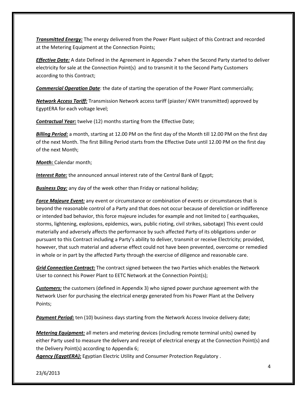*Transmitted Energy:* The energy delivered from the Power Plant subject of this Contract and recorded at the Metering Equipment at the Connection Points;

*Effective Date:* A date Defined in the Agreement in Appendix 7 when the Second Party started to deliver electricity for sale at the Connection Point(s) and to transmit it to the Second Party Customers according to this Contract;

*Commercial Operation Date*: the date of starting the operation of the Power Plant commercially;

*Network Access Tariff:* Transmission Network access tariff (piaster/ KWH transmitted) approved by EgyptERA for each voltage level;

*Contractual Year:* twelve (12) months starting from the Effective Date;

*Billing Period:* a month, starting at 12.00 PM on the first day of the Month till 12.00 PM on the first day of the next Month. The first Billing Period starts from the Effective Date until 12.00 PM on the first day of the next Month;

*Month:* Calendar month;

*Interest Rate:* the announced annual interest rate of the Central Bank of Egypt;

**Business Day:** any day of the week other than Friday or national holiday;

*Force Majeure Event:* any event or circumstance or combination of events or circumstances that is beyond the reasonable control of a Party and that does not occur because of dereliction or indifference or intended bad behavior, this force majeure includes for example and not limited to ( earthquakes, storms, lightening, explosions, epidemics, wars, public rioting, civil strikes, sabotage) This event could materially and adversely affects the performance by such affected Party of its obligations under or pursuant to this Contract including a Party's ability to deliver, transmit or receive Electricity; provided, however, that such material and adverse effect could not have been prevented, overcome or remedied in whole or in part by the affected Party through the exercise of diligence and reasonable care.

*Grid Connection Contract:* The contract signed between the two Parties which enables the Network User to connect his Power Plant to EETC Network at the Connection Point(s);

*Customers:* the customers (defined in Appendix 3) who signed power purchase agreement with the Network User for purchasing the electrical energy generated from his Power Plant at the Delivery Points;

*Payment Period:* ten (10) business days starting from the Network Access Invoice delivery date;

*Metering Equipment:* all meters and metering devices (including remote terminal units) owned by either Party used to measure the delivery and receipt of electrical energy at the Connection Point(s) and the Delivery Point(s) according to Appendix 6;

*Agency (EgyptERA):* Egyptian Electric Utility and Consumer Protection Regulatory .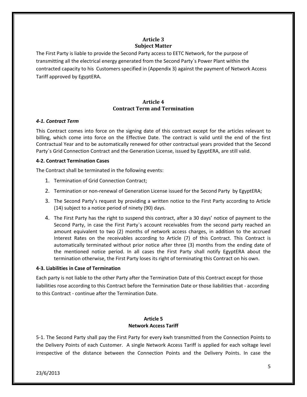# **Article 3 Subject Matter**

The First Party is liable to provide the Second Party access to EETC Network, for the purpose of transmitting all the electrical energy generated from the Second Party`s Power Plant within the contracted capacity to his Customers specified in (Appendix 3) against the payment of Network Access Tariff approved by EgyptERA.

# **Article 4 Contract Term and Termination**

## *4-1. Contract Term*

This Contract comes into force on the signing date of this contract except for the articles relevant to billing, which come into force on the Effective Date. The contract is valid until the end of the first Contractual Year and to be automatically renewed for other contractual years provided that the Second Party`s Grid Connection Contract and the Generation License, issued by EgyptERA, are still valid.

## **4-2. Contract Termination Cases**

The Contract shall be terminated in the following events:

- 1. Termination of Grid Connection Contract;
- 2. Termination or non-renewal of Generation License issued for the Second Party by EgyptERA;
- 3. The Second Party's request by providing a written notice to the First Party according to Article (14) subject to a notice period of ninety (90) days.
- 4. The First Party has the right to suspend this contract, after a 30 days' notice of payment to the Second Party, in case the First Party`s account receivables from the second party reached an amount equivalent to two (2) months of network access charges, in addition to the accrued Interest Rates on the receivables according to Article (7) of this Contract. This Contract is automatically terminated without prior notice after three (3) months from the ending date of the mentioned notice period. In all cases the First Party shall notify EgyptERA about the termination otherwise, the First Party loses its right of terminating this Contract on his own.

## **4-3. Liabilities in Case of Termination**

Each party is not liable to the other Party after the Termination Date of this Contract except for those liabilities rose according to this Contract before the Termination Date or those liabilities that - according to this Contract - continue after the Termination Date.

## **Article 5 Network Access Tariff**

5-1. The Second Party shall pay the First Party for every kwh transmitted from the Connection Points to the Delivery Points of each Customer. A single Network Access Tariff is applied for each voltage level irrespective of the distance between the Connection Points and the Delivery Points. In case the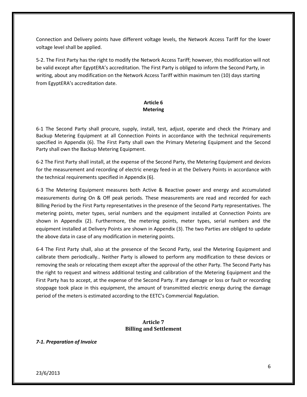Connection and Delivery points have different voltage levels, the Network Access Tariff for the lower voltage level shall be applied.

5-2. The First Party has the right to modify the Network Access Tariff; however, this modification will not be valid except after EgyptERA's accreditation. The First Party is obliged to inform the Second Party, in writing, about any modification on the Network Access Tariff within maximum ten (10) days starting from EgyptERA's accreditation date.

# **Article 6 Metering**

6-1 The Second Party shall procure, supply, install, test, adjust, operate and check the Primary and Backup Metering Equipment at all Connection Points in accordance with the technical requirements specified in Appendix (6). The First Party shall own the Primary Metering Equipment and the Second Party shall own the Backup Metering Equipment.

6-2 The First Party shall install, at the expense of the Second Party, the Metering Equipment and devices for the measurement and recording of electric energy feed-in at the Delivery Points in accordance with the technical requirements specified in Appendix (6).

6-3 The Metering Equipment measures both Active & Reactive power and energy and accumulated measurements during On & Off peak periods. These measurements are read and recorded for each Billing Period by the First Party representatives in the presence of the Second Party representatives. The metering points, meter types, serial numbers and the equipment installed at Connection Points are shown in Appendix (2). Furthermore, the metering points, meter types, serial numbers and the equipment installed at Delivery Points are shown in Appendix (3). The two Parties are obliged to update the above data in case of any modification in metering points.

6-4 The First Party shall, also at the presence of the Second Party, seal the Metering Equipment and calibrate them periodically.. Neither Party is allowed to perform any modification to these devices or removing the seals or relocating them except after the approval of the other Party. The Second Party has the right to request and witness additional testing and calibration of the Metering Equipment and the First Party has to accept, at the expense of the Second Party. If any damage or loss or fault or recording stoppage took place in this equipment, the amount of transmitted electric energy during the damage period of the meters is estimated according to the EETC's Commercial Regulation.

# **Article 7 Billing and Settlement**

# *7-1. Preparation of Invoice*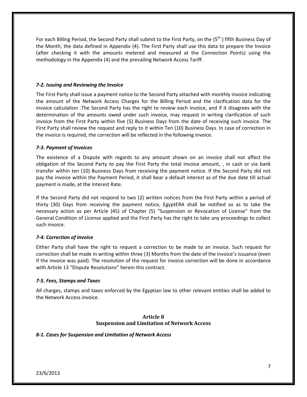For each Billing Period, the Second Party shall submit to the First Party, on the (5<sup>th</sup>) fifth Business Day of the Month, the data defined in Appendix (4). The First Party shall use this data to prepare the Invoice (after checking it with the amounts metered and measured at the Connection Points) using the methodology in the Appendix (4) and the prevailing Network Access Tariff.

## *7-2. Issuing and Reviewing the Invoice*

The First Party shall issue a payment notice to the Second Party attached with monthly invoice indicating the amount of the Network Access Charges for the Billing Period and the clarification data for the invoice calculation .The Second Party has the right to review each invoice, and if it disagrees with the determination of the amounts owed under such invoice, may request in writing clarification of such invoice from the First Party within five (5) Business Days from the date of receiving such invoice. The First Party shall review the request and reply to it within Ten (10) Business Days. In case of correction in the invoice is required, the correction will be reflected in the following invoice.

## *7-3. Payment of Invoices*

The existence of a Dispute with regards to any amount shown on an invoice shall not affect the obligation of the Second Party to pay the First Party the total invoice amount, , in cash or via bank transfer within ten (10) Business Days from receiving the payment notice. If the Second Party did not pay the invoice within the Payment Period, it shall bear a default interest as of the due date till actual payment is made, at the Interest Rate.

If the Second Party did not respond to two (2) written notices from the First Party within a period of thirty (30) Days from receiving the payment notice, EgyptERA shall be notified so as to take the necessary action as per Article (45) of Chapter (5) "Suspension or Revocation of License" from the General Condition of License applied and the First Party has the right to take any proceedings to collect such invoice.

## *7-4. Correction of Invoice*

Either Party shall have the right to request a correction to be made to an invoice. Such request for correction shall be made in writing within three (3) Months from the date of the invoice's issuance (even if the invoice was paid). The resolution of the request for invoice correction will be done in accordance with Article 13 "Dispute Resolutions" herein this contract.

#### *7-5. Fees, Stamps and Taxes*

All charges, stamps and taxes enforced by the Egyptian law to other relevant entities shall be added to the Network Access invoice.

## **Article 8 Suspension and Limitation of Network Access**

#### *8-1. Cases for Suspension and Limitation of Network Access*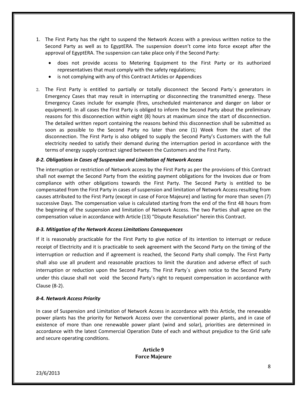- 1. The First Party has the right to suspend the Network Access with a previous written notice to the Second Party as well as to EgyptERA. The suspension doesn't come into force except after the approval of EgyptERA. The suspension can take place only if the Second Party:
	- does not provide access to Metering Equipment to the First Party or its authorized representatives that must comply with the safety regulations;
	- is not complying with any of this Contract Articles or Appendices
- 2. The First Party is entitled to partially or totally disconnect the Second Party`s generators in Emergency Cases that may result in interrupting or disconnecting the transmitted energy. These Emergency Cases include for example (fires, unscheduled maintenance and danger on labor or equipment). In all cases the First Party is obliged to inform the Second Party about the preliminary reasons for this disconnection within eight (8) hours at maximum since the start of disconnection. The detailed written report containing the reasons behind this disconnection shall be submitted as soon as possible to the Second Party no later than one (1) Week from the start of the disconnection. The First Party is also obliged to supply the Second Party's Customers with the full electricity needed to satisfy their demand during the interruption period in accordance with the terms of energy supply contract signed between the Customers and the First Party.

## *8-2. Obligations in Cases of Suspension and Limitation of Network Access*

The interruption or restriction of Network access by the First Party as per the provisions of this Contract shall not exempt the Second Party from the existing payment obligations for the Invoices due or from compliance with other obligations towards the First Party. The Second Party is entitled to be compensated from the First Party in cases of suspension and limitation of Network Access resulting from causes attributed to the First Party (except in case of Force Majeure) and lasting for more than seven (7) successive Days. The compensation value is calculated starting from the end of the first 48 hours from the beginning of the suspension and limitation of Network Access. The two Parties shall agree on the compensation value in accordance with Article (13) "Dispute Resolution" herein this Contract.

#### *8-3. Mitigation of the Network Access Limitations Consequences*

If it is reasonably practicable for the First Party to give notice of its intention to interrupt or reduce receipt of Electricity and it is practicable to seek agreement with the Second Party on the timing of the interruption or reduction and if agreement is reached, the Second Party shall comply. The First Party shall also use all prudent and reasonable practices to limit the duration and adverse effect of such interruption or reduction upon the Second Party. The First Party`s given notice to the Second Party under this clause shall not void the Second Party's right to request compensation in accordance with Clause (8-2).

#### *8-4. Network Access Priority*

In case of Suspension and Limitation of Network Access in accordance with this Article, the renewable power plants has the priority for Network Access over the conventional power plants, and in case of existence of more than one renewable power plant (wind and solar), priorities are determined in accordance with the latest Commercial Operation Date of each and without prejudice to the Grid safe and secure operating conditions.

## **Article 9 Force Majeure**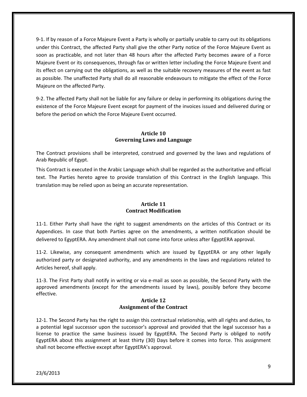9-1. If by reason of a Force Majeure Event a Party is wholly or partially unable to carry out its obligations under this Contract, the affected Party shall give the other Party notice of the Force Majeure Event as soon as practicable, and not later than 48 hours after the affected Party becomes aware of a Force Majeure Event or its consequences, through fax or written letter including the Force Majeure Event and its effect on carrying out the obligations, as well as the suitable recovery measures of the event as fast as possible. The unaffected Party shall do all reasonable endeavours to mitigate the effect of the Force Majeure on the affected Party.

9-2. The affected Party shall not be liable for any failure or delay in performing its obligations during the existence of the Force Majeure Event except for payment of the invoices issued and delivered during or before the period on which the Force Majeure Event occurred.

# **Article 10 Governing Laws and Language**

The Contract provisions shall be interpreted, construed and governed by the laws and regulations of Arab Republic of Egypt.

This Contract is executed in the Arabic Language which shall be regarded as the authoritative and official text. The Parties hereto agree to provide translation of this Contract in the English language. This translation may be relied upon as being an accurate representation.

# **Article 11 Contract Modification**

11-1. Either Party shall have the right to suggest amendments on the articles of this Contract or its Appendices. In case that both Parties agree on the amendments, a written notification should be delivered to EgyptERA. Any amendment shall not come into force unless after EgyptERA approval.

11-2. Likewise, any consequent amendments which are issued by EgyptERA or any other legally authorized party or designated authority, and any amendments in the laws and regulations related to Articles hereof, shall apply.

11-3. The First Party shall notify in writing or via e-mail as soon as possible, the Second Party with the approved amendments (except for the amendments issued by laws), possibly before they become effective.

# **Article 12 Assignment of the Contract**

12-1. The Second Party has the right to assign this contractual relationship, with all rights and duties, to a potential legal successor upon the successor's approval and provided that the legal successor has a license to practice the same business issued by EgyptERA. The Second Party is obliged to notify EgyptERA about this assignment at least thirty (30) Days before it comes into force. This assignment shall not become effective except after EgyptERA's approval.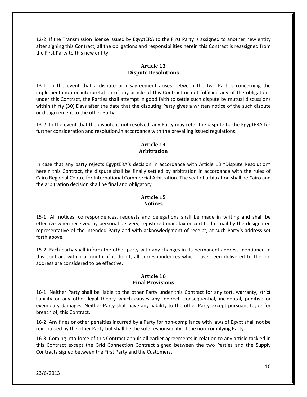12-2. If the Transmission license issued by EgyptERA to the First Party is assigned to another new entity after signing this Contract, all the obligations and responsibilities herein this Contract is reassigned from the First Party to this new entity.

# **Article 13 Dispute Resolutions**

13-1. In the event that a dispute or disagreement arises between the two Parties concerning the implementation or interpretation of any article of this Contract or not fulfilling any of the obligations under this Contract, the Parties shall attempt in good faith to settle such dispute by mutual discussions within thirty (30) Days after the date that the disputing Party gives a written notice of the such dispute or disagreement to the other Party.

13-2. In the event that the dispute is not resolved, any Party may refer the dispute to the EgyptERA for further consideration and resolution.in accordance with the prevailing issued regulations.

# **Article 14 Arbitration**

In case that any party rejects EgyptERA's decision in accordance with Article 13 "Dispute Resolution" herein this Contract, the dispute shall be finally settled by arbitration in accordance with the rules of Cairo Regional Centre for International Commercial Arbitration. The seat of arbitration shall be Cairo and the arbitration decision shall be final and obligatory

# **Article 15 Notices**

15-1. All notices, correspondences, requests and delegations shall be made in writing and shall be effective when received by personal delivery, registered mail, fax or certified e-mail by the designated representative of the intended Party and with acknowledgment of receipt, at such Party's address set forth above.

15-2. Each party shall inform the other party with any changes in its permanent address mentioned in this contract within a month; if it didn't, all correspondences which have been delivered to the old address are considered to be effective.

# **Article 16 Final Provisions**

16-1. Neither Party shall be liable to the other Party under this Contract for any tort, warranty, strict liability or any other legal theory which causes any indirect, consequential, incidental, punitive or exemplary damages. Neither Party shall have any liability to the other Party except pursuant to, or for breach of, this Contract.

16-2. Any fines or other penalties incurred by a Party for non-compliance with laws of Egypt shall not be reimbursed by the other Party but shall be the sole responsibility of the non-complying Party.

16-3. Coming into force of this Contract annuls all earlier agreements in relation to any article tackled in this Contract except the Grid Connection Contract signed between the two Parties and the Supply Contracts signed between the First Party and the Customers.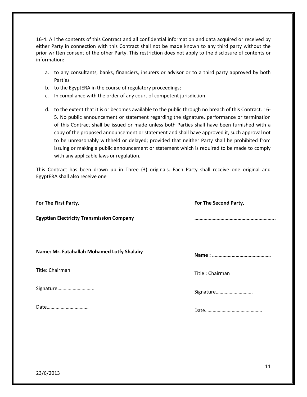16-4. All the contents of this Contract and all confidential information and data acquired or received by either Party in connection with this Contract shall not be made known to any third party without the prior written consent of the other Party. This restriction does not apply to the disclosure of contents or information:

- a. to any consultants, banks, financiers, insurers or advisor or to a third party approved by both Parties
- b. to the EgyptERA in the course of regulatory proceedings;
- c. In compliance with the order of any court of competent jurisdiction.
- d. to the extent that it is or becomes available to the public through no breach of this Contract. 16- 5. No public announcement or statement regarding the signature, performance or termination of this Contract shall be issued or made unless both Parties shall have been furnished with a copy of the proposed announcement or statement and shall have approved it, such approval not to be unreasonably withheld or delayed; provided that neither Party shall be prohibited from issuing or making a public announcement or statement which is required to be made to comply with any applicable laws or regulation.

This Contract has been drawn up in Three (3) originals. Each Party shall receive one original and EgyptERA shall also receive one

| For The First Party,                             | For The Second Party, |  |
|--------------------------------------------------|-----------------------|--|
| <b>Egyptian Electricity Transmission Company</b> |                       |  |
|                                                  |                       |  |
| Name: Mr. Fatahallah Mohamed Lotfy Shalaby       |                       |  |
| Title: Chairman                                  | Title: Chairman       |  |
| Signature                                        | Signature             |  |
| Date                                             |                       |  |
|                                                  |                       |  |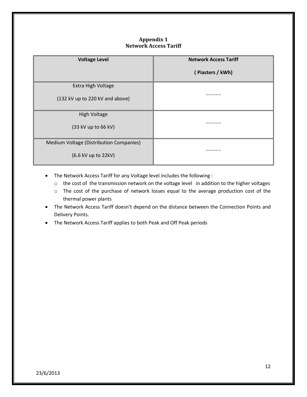# **Appendix 1 Network Access Tariff**

| <b>Voltage Level</b>                    | <b>Network Access Tariff</b> |  |
|-----------------------------------------|------------------------------|--|
|                                         | (Piasters / kWh)             |  |
| Extra High Voltage                      |                              |  |
| (132 kV up to 220 kV and above)         |                              |  |
| High Voltage                            |                              |  |
| (33 kV up to 66 kV)                     |                              |  |
| Medium Voltage (Distribution Companies) |                              |  |
| (6.6 kV up to 22kV)                     |                              |  |

- The Network Access Tariff for any Voltage level includes the following :
	- o the cost of the transmission network on the voltage level in addition to the higher voltages
	- o The cost of the purchase of network losses equal to the average production cost of the thermal power plants
- The Network Access Tariff doesn't depend on the distance between the Connection Points and Delivery Points.
- The Network Access Tariff applies to both Peak and Off Peak periods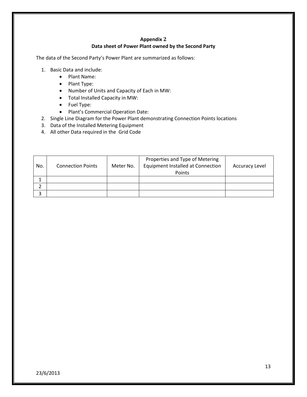# **Appendix 2 Data sheet of Power Plant owned by the Second Party**

The data of the Second Party's Power Plant are summarized as follows:

- 1. Basic Data and include:
	- Plant Name:
	- Plant Type:
	- Number of Units and Capacity of Each in MW:
	- Total Installed Capacity in MW:
	- Fuel Type:
	- Plant's Commercial Operation Date:
- 2. Single Line Diagram for the Power Plant demonstrating Connection Points locations
- 3. Data of the Installed Metering Equipment
- 4. All other Data required in the Grid Code

| No. | <b>Connection Points</b> | Meter No. | Properties and Type of Metering<br><b>Equipment Installed at Connection</b><br>Points | <b>Accuracy Level</b> |
|-----|--------------------------|-----------|---------------------------------------------------------------------------------------|-----------------------|
|     |                          |           |                                                                                       |                       |
|     |                          |           |                                                                                       |                       |
| ર   |                          |           |                                                                                       |                       |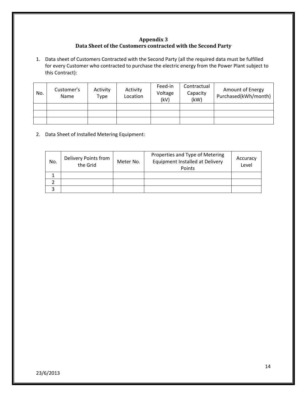# **Appendix 3 Data Sheet of the Customers contracted with the Second Party**

1. Data sheet of Customers Contracted with the Second Party (all the required data must be fulfilled for every Customer who contracted to purchase the electric energy from the Power Plant subject to this Contract):

| No. | Customer's<br>Name | Activity<br>Type | Activity<br>Location | Feed-in<br>Voltage<br>(kV) | Contractual<br>Capacity<br>(kW) | <b>Amount of Energy</b><br>Purchased(kWh/month) |
|-----|--------------------|------------------|----------------------|----------------------------|---------------------------------|-------------------------------------------------|
|     |                    |                  |                      |                            |                                 |                                                 |
|     |                    |                  |                      |                            |                                 |                                                 |
|     |                    |                  |                      |                            |                                 |                                                 |

2. Data Sheet of Installed Metering Equipment:

| No. | Delivery Points from<br>the Grid | Meter No. | Properties and Type of Metering<br>Equipment Installed at Delivery<br>Points | Accuracy<br>Level |
|-----|----------------------------------|-----------|------------------------------------------------------------------------------|-------------------|
|     |                                  |           |                                                                              |                   |
|     |                                  |           |                                                                              |                   |
|     |                                  |           |                                                                              |                   |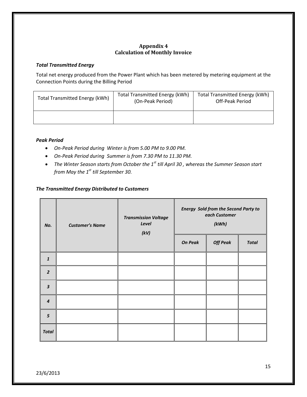# **Appendix 4 Calculation of Monthly Invoice**

## *Total Transmitted Energy*

Total net energy produced from the Power Plant which has been metered by metering equipment at the Connection Points during the Billing Period

| Total Transmitted Energy (kWh) | <b>Total Transmitted Energy (kWh)</b><br>(On-Peak Period) | <b>Total Transmitted Energy (kWh)</b><br>Off-Peak Period |
|--------------------------------|-----------------------------------------------------------|----------------------------------------------------------|
|                                |                                                           |                                                          |

## *Peak Period*

- *On-Peak Period during Winter is from 5.00 PM to 9.00 PM.*
- *On-Peak Period during Summer is from 7.30 PM to 11.30 PM.*
- *The Winter Season starts from October the 1st till April 30 , whereas the Summer Season start from May the 1st till September 30.*

# *The Transmitted Energy Distributed to Customers*

| No.                     | <b>Customer's Name</b> | <b>Transmission Voltage</b><br>Level<br>(kV) |                | <b>Energy Sold from the Second Party to</b><br>each Customer<br>(kWh) |              |  |
|-------------------------|------------------------|----------------------------------------------|----------------|-----------------------------------------------------------------------|--------------|--|
|                         |                        |                                              | <b>On Peak</b> | <b>Off Peak</b>                                                       | <b>Total</b> |  |
| $\mathbf{1}$            |                        |                                              |                |                                                                       |              |  |
| $\overline{2}$          |                        |                                              |                |                                                                       |              |  |
| $\overline{\mathbf{3}}$ |                        |                                              |                |                                                                       |              |  |
| $\boldsymbol{4}$        |                        |                                              |                |                                                                       |              |  |
| 5                       |                        |                                              |                |                                                                       |              |  |
| <b>Total</b>            |                        |                                              |                |                                                                       |              |  |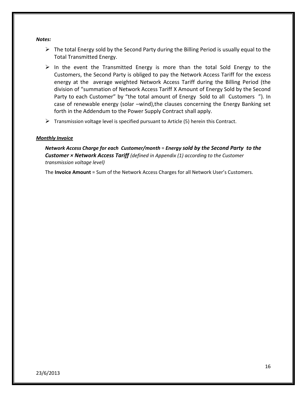#### *Notes:*

- $\triangleright$  The total Energy sold by the Second Party during the Billing Period is usually equal to the Total Transmitted Energy.
- $\triangleright$  In the event the Transmitted Energy is more than the total Sold Energy to the Customers, the Second Party is obliged to pay the Network Access Tariff for the excess energy at the average weighted Network Access Tariff during the Billing Period (the division of "summation of Network Access Tariff X Amount of Energy Sold by the Second Party to each Customer" by "the total amount of Energy Sold to all Customers "). In case of renewable energy (solar –wind),the clauses concerning the Energy Banking set forth in the Addendum to the Power Supply Contract shall apply.
- $\triangleright$  Transmission voltage level is specified pursuant to Article (5) herein this Contract.

## *Monthly Invoice*

*Network Access Charge for each Customer/month* = *Energy sold by the Second Party to the Customer × Network Access Tariff (defined in Appendix (1) according to the Customer transmission voltage level)*

The **Invoice Amount** = Sum of the Network Access Charges for all Network User's Customers.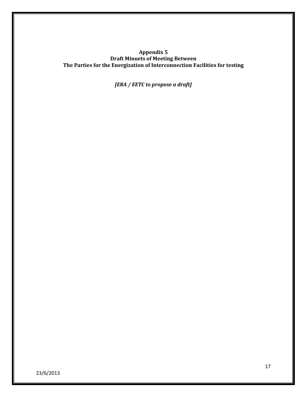## **Appendix 5 Draft Minuets of Meeting Between The Parties for the Energization of Interconnection Facilities for testing**

*[ERA / EETC to propose a draft]*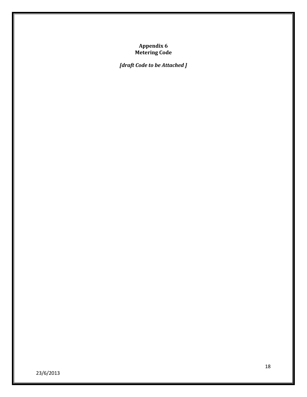## **Appendix 6 Metering Code**

*[draft Code to be Attached ]*